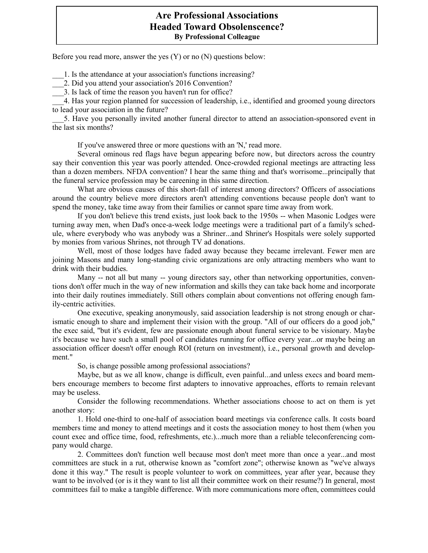## **Are Professional Associations Headed Toward Obsolenscence? By Professional Colleague**

Before you read more, answer the yes (Y) or no (N) questions below:

\_\_\_1. Is the attendance at your association's functions increasing?

\_\_\_2. Did you attend your association's 2016 Convention?

3. Is lack of time the reason you haven't run for office?

\_\_\_4. Has your region planned for succession of leadership, i.e., identified and groomed young directors to lead your association in the future?

\_\_\_5. Have you personally invited another funeral director to attend an association-sponsored event in the last six months?

If you've answered three or more questions with an 'N,' read more.

Several ominous red flags have begun appearing before now, but directors across the country say their convention this year was poorly attended. Once-crowded regional meetings are attracting less than a dozen members. NFDA convention? I hear the same thing and that's worrisome...principally that the funeral service profession may be careening in this same direction.

What are obvious causes of this short-fall of interest among directors? Officers of associations around the country believe more directors aren't attending conventions because people don't want to spend the money, take time away from their families or cannot spare time away from work.

If you don't believe this trend exists, just look back to the 1950s -- when Masonic Lodges were turning away men, when Dad's once-a-week lodge meetings were a traditional part of a family's schedule, where everybody who was anybody was a Shriner...and Shriner's Hospitals were solely supported by monies from various Shrines, not through TV ad donations.

Well, most of those lodges have faded away because they became irrelevant. Fewer men are joining Masons and many long-standing civic organizations are only attracting members who want to drink with their buddies.

Many -- not all but many -- young directors say, other than networking opportunities, conventions don't offer much in the way of new information and skills they can take back home and incorporate into their daily routines immediately. Still others complain about conventions not offering enough family-centric activities.

One executive, speaking anonymously, said association leadership is not strong enough or charismatic enough to share and implement their vision with the group. "All of our officers do a good job," the exec said, "but it's evident, few are passionate enough about funeral service to be visionary. Maybe it's because we have such a small pool of candidates running for office every year...or maybe being an association officer doesn't offer enough ROI (return on investment), i.e., personal growth and development."

So, is change possible among professional associations?

Maybe, but as we all know, change is difficult, even painful...and unless execs and board members encourage members to become first adapters to innovative approaches, efforts to remain relevant may be useless.

Consider the following recommendations. Whether associations choose to act on them is yet another story:

1. Hold one-third to one-half of association board meetings via conference calls. It costs board members time and money to attend meetings and it costs the association money to host them (when you count exec and office time, food, refreshments, etc.)...much more than a reliable teleconferencing company would charge.

2. Committees don't function well because most don't meet more than once a year...and most committees are stuck in a rut, otherwise known as "comfort zone"; otherwise known as "we've always done it this way." The result is people volunteer to work on committees, year after year, because they want to be involved (or is it they want to list all their committee work on their resume?) In general, most committees fail to make a tangible difference. With more communications more often, committees could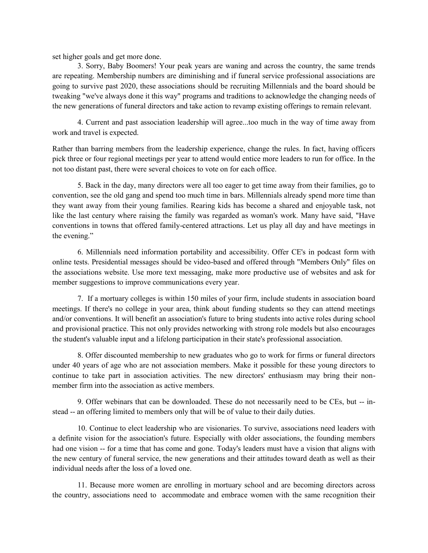set higher goals and get more done.

3. Sorry, Baby Boomers! Your peak years are waning and across the country, the same trends are repeating. Membership numbers are diminishing and if funeral service professional associations are going to survive past 2020, these associations should be recruiting Millennials and the board should be tweaking "we've always done it this way" programs and traditions to acknowledge the changing needs of the new generations of funeral directors and take action to revamp existing offerings to remain relevant.

4. Current and past association leadership will agree...too much in the way of time away from work and travel is expected.

Rather than barring members from the leadership experience, change the rules. In fact, having officers pick three or four regional meetings per year to attend would entice more leaders to run for office. In the not too distant past, there were several choices to vote on for each office.

5. Back in the day, many directors were all too eager to get time away from their families, go to convention, see the old gang and spend too much time in bars. Millennials already spend more time than they want away from their young families. Rearing kids has become a shared and enjoyable task, not like the last century where raising the family was regarded as woman's work. Many have said, "Have conventions in towns that offered family-centered attractions. Let us play all day and have meetings in the evening."

6. Millennials need information portability and accessibility. Offer CE's in podcast form with online tests. Presidential messages should be video-based and offered through "Members Only" files on the associations website. Use more text messaging, make more productive use of websites and ask for member suggestions to improve communications every year.

7. If a mortuary colleges is within 150 miles of your firm, include students in association board meetings. If there's no college in your area, think about funding students so they can attend meetings and/or conventions. It will benefit an association's future to bring students into active roles during school and provisional practice. This not only provides networking with strong role models but also encourages the student's valuable input and a lifelong participation in their state's professional association.

8. Offer discounted membership to new graduates who go to work for firms or funeral directors under 40 years of age who are not association members. Make it possible for these young directors to continue to take part in association activities. The new directors' enthusiasm may bring their nonmember firm into the association as active members.

9. Offer webinars that can be downloaded. These do not necessarily need to be CEs, but -- instead -- an offering limited to members only that will be of value to their daily duties.

10. Continue to elect leadership who are visionaries. To survive, associations need leaders with a definite vision for the association's future. Especially with older associations, the founding members had one vision -- for a time that has come and gone. Today's leaders must have a vision that aligns with the new century of funeral service, the new generations and their attitudes toward death as well as their individual needs after the loss of a loved one.

11. Because more women are enrolling in mortuary school and are becoming directors across the country, associations need to accommodate and embrace women with the same recognition their